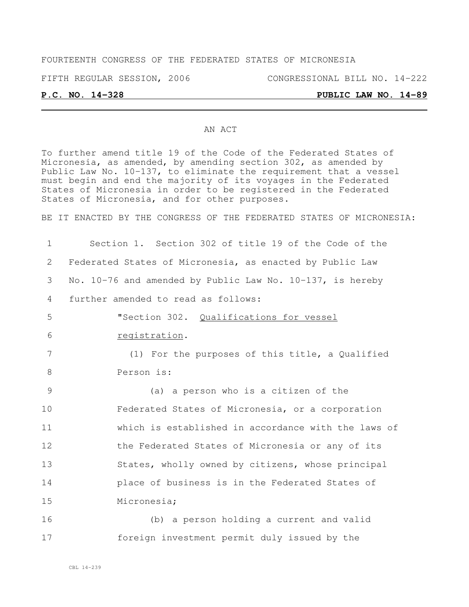## FOURTEENTH CONGRESS OF THE FEDERATED STATES OF MICRONESIA

FIFTH REGULAR SESSION, 2006 CONGRESSIONAL BILL NO. 14-222

### **P.C. NO. 14-328 PUBLIC LAW NO. 14-89**

### AN ACT

To further amend title 19 of the Code of the Federated States of Micronesia, as amended, by amending section 302, as amended by Public Law No. 10-137, to eliminate the requirement that a vessel must begin and end the majority of its voyages in the Federated States of Micronesia in order to be registered in the Federated States of Micronesia, and for other purposes.

BE IT ENACTED BY THE CONGRESS OF THE FEDERATED STATES OF MICRONESIA:

 Section 1. Section 302 of title 19 of the Code of the Federated States of Micronesia, as enacted by Public Law No. 10-76 and amended by Public Law No. 10-137, is hereby further amended to read as follows: "Section 302. Qualifications for vessel registration. (1) For the purposes of this title, a Qualified Person is: (a) a person who is a citizen of the Federated States of Micronesia, or a corporation which is established in accordance with the laws of the Federated States of Micronesia or any of its States, wholly owned by citizens, whose principal place of business is in the Federated States of Micronesia; (b) a person holding a current and valid foreign investment permit duly issued by the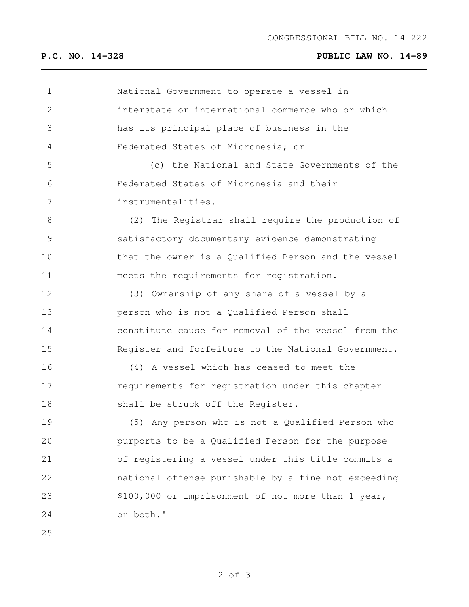## **P.C. NO. 14-328 PUBLIC LAW NO. 14-89**

| $\mathbf 1$   | National Government to operate a vessel in          |
|---------------|-----------------------------------------------------|
| $\mathbf{2}$  | interstate or international commerce who or which   |
| 3             | has its principal place of business in the          |
| 4             | Federated States of Micronesia; or                  |
| 5             | (c) the National and State Governments of the       |
| 6             | Federated States of Micronesia and their            |
| 7             | instrumentalities.                                  |
| 8             | (2) The Registrar shall require the production of   |
| $\mathcal{G}$ | satisfactory documentary evidence demonstrating     |
| 10            | that the owner is a Qualified Person and the vessel |
| 11            | meets the requirements for registration.            |
| 12            | (3) Ownership of any share of a vessel by a         |
| 13            | person who is not a Qualified Person shall          |
| 14            | constitute cause for removal of the vessel from the |
| 15            | Register and forfeiture to the National Government. |
| 16            | (4) A vessel which has ceased to meet the           |
| 17            | requirements for registration under this chapter    |
| 18            | shall be struck off the Register.                   |
| 19            | (5) Any person who is not a Qualified Person who    |
| 20            | purports to be a Qualified Person for the purpose   |
| 21            | of registering a vessel under this title commits a  |
| 22            | national offense punishable by a fine not exceeding |
| 23            | \$100,000 or imprisonment of not more than 1 year,  |
| 24            | or both."                                           |
| 25            |                                                     |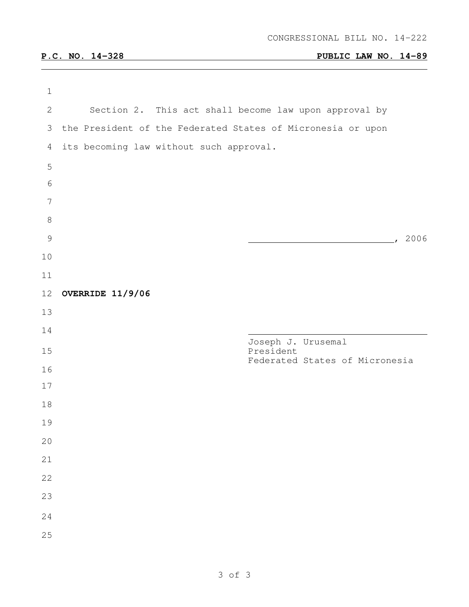## **P.C. NO. 14-328 PUBLIC LAW NO. 14-89**

| $\mathbf 1$   |                  |                                                             |
|---------------|------------------|-------------------------------------------------------------|
| $\mathbf{2}$  |                  | Section 2. This act shall become law upon approval by       |
| 3             |                  | the President of the Federated States of Micronesia or upon |
| 4             |                  | its becoming law without such approval.                     |
| 5             |                  |                                                             |
| $\sqrt{6}$    |                  |                                                             |
| $\sqrt{ }$    |                  |                                                             |
| $\,8\,$       |                  |                                                             |
| $\mathcal{G}$ |                  | , 2006                                                      |
| $10$          |                  |                                                             |
| 11            |                  |                                                             |
| 12            | OVERRIDE 11/9/06 |                                                             |
| 13            |                  |                                                             |
| 14            |                  | Joseph J. Urusemal                                          |
| 15            |                  | President<br>Federated States of Micronesia                 |
| 16            |                  |                                                             |
| 17            |                  |                                                             |
| 18            |                  |                                                             |
| 19            |                  |                                                             |
| 20            |                  |                                                             |
| 21            |                  |                                                             |
| 22            |                  |                                                             |
| 23            |                  |                                                             |
| 24            |                  |                                                             |
| 25            |                  |                                                             |